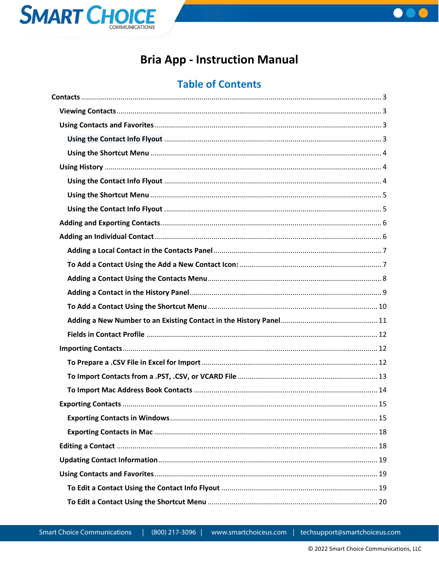



# **Bria App - Instruction Manual**

# **Table of Contents**

(800) 217-3096 |

www.smartchoiceus.com

techsupport@smartchoiceus.com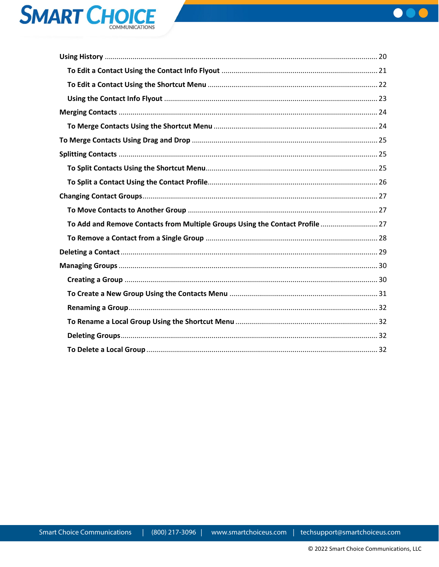



| To Add and Remove Contacts from Multiple Groups Using the Contact Profile  27 |  |
|-------------------------------------------------------------------------------|--|
|                                                                               |  |
|                                                                               |  |
|                                                                               |  |
|                                                                               |  |
|                                                                               |  |
|                                                                               |  |
|                                                                               |  |
|                                                                               |  |
|                                                                               |  |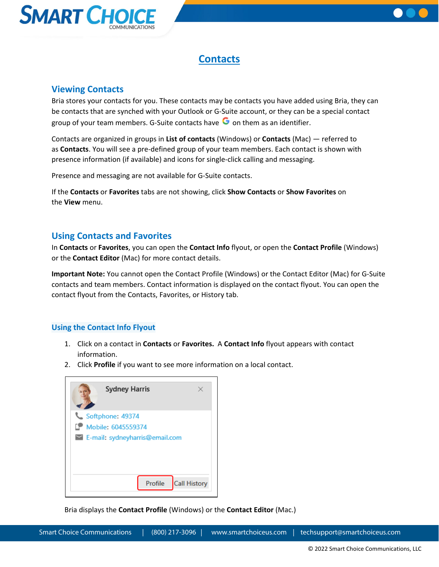



## **Contacts**

## <span id="page-2-1"></span><span id="page-2-0"></span>**Viewing Contacts**

Bria stores your contacts for you. These contacts may be contacts you have added using Bria, they can be contacts that are synched with your Outlook or G-Suite account, or they can be a special contact group of your team members. G-Suite contacts have  $\bullet$  on them as an identifier.

Contacts are organized in groups in **List of contacts** (Windows) or **Contacts** (Mac) — referred to as **Contacts**. You will see a pre-defined group of your team members. Each contact is shown with presence information (if available) and icons for single-click calling and messaging.

Presence and messaging are not available for G-Suite contacts.

If the **Contacts** or **Favorites** tabs are not showing, click **Show Contacts** or **Show Favorites** on the **View** menu.

## <span id="page-2-2"></span>**Using Contacts and Favorites**

In **Contacts** or **Favorites**, you can open the **Contact Info** flyout, or open the **Contact Profile** (Windows) or the **Contact Editor** (Mac) for more contact details.

**Important Note:** You cannot open the Contact Profile (Windows) or the Contact Editor (Mac) for G-Suite contacts and team members. Contact information is displayed on the contact flyout. You can open the contact flyout from the Contacts, Favorites, or History tab.

## <span id="page-2-3"></span>**Using the Contact Info Flyout**

- 1. Click on a contact in **Contacts** or **Favorites.** A **Contact Info** flyout appears with contact information.
- 2. Click **Profile** if you want to see more information on a local contact.



Bria displays the **Contact Profile** (Windows) or the **Contact Editor** (Mac.)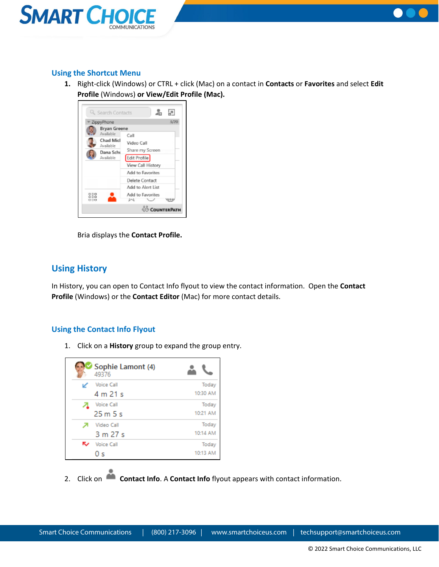



## <span id="page-3-0"></span>**Using the Shortcut Menu**

**1.** Right-click (Windows) or CTRL + click (Mac) on a contact in **Contacts** or **Favorites** and select **Edit Profile** (Windows) **or View/Edit Profile (Mac).**



Bria displays the **Contact Profile.**

## <span id="page-3-1"></span>**Using History**

In History, you can open to Contact Info flyout to view the contact information. Open the **Contact Profile** (Windows) or the **Contact Editor** (Mac) for more contact details.

## <span id="page-3-2"></span>**Using the Contact Info Flyout**

1. Click on a **History** group to expand the group entry.

| Sophie Lamont (4)<br>49376 |          |
|----------------------------|----------|
| <b>Voice Call</b>          | Today    |
| 4 m 21 s                   | 10:30 AM |
| <b>Voice Call</b>          | Today    |
| 25m5s                      | 10:21 AM |
| Video Call                 | Today    |
| 3 m 27 s                   | 10:14 AM |
| Voice Call                 | Today    |
| 0 s                        | 10:13 AM |

2. Click on **Contact Info**. A **Contact Info** flyout appears with contact information.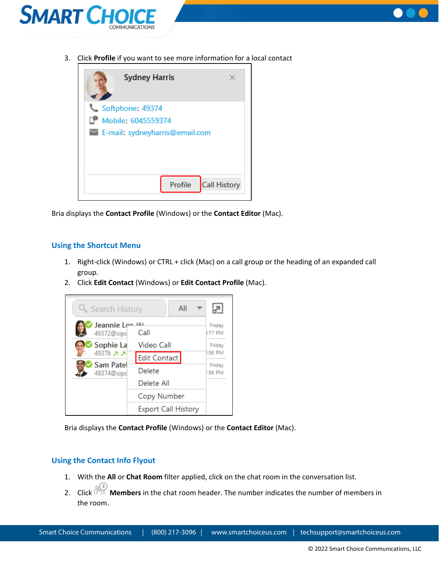



3. Click **Profile** if you want to see more information for a local contact



Bria displays the **Contact Profile** (Windows) or the **Contact Editor** (Mac).

### <span id="page-4-0"></span>**Using the Shortcut Menu**

- 1. Right-click (Windows) or CTRL + click (Mac) on a call group or the heading of an expanded call group.
- 2. Click **Edit Contact** (Windows) or **Edit Contact Profile** (Mac).



Bria displays the **Contact Profile** (Windows) or the **Contact Editor** (Mac).

### <span id="page-4-1"></span>**Using the Contact Info Flyout**

- 1. With the **All** or **Chat Room** filter applied, click on the chat room in the conversation list.
- 2. Click **Members** in the chat room header. The number indicates the number of members in the room.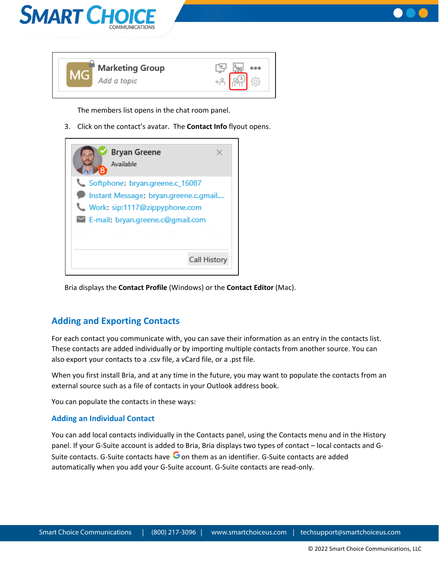



The members list opens in the chat room panel.

3. Click on the contact's avatar. The **Contact Info** flyout opens.



Bria displays the **Contact Profile** (Windows) or the **Contact Editor** (Mac).

## <span id="page-5-0"></span>**Adding and Exporting Contacts**

For each contact you communicate with, you can save their information as an entry in the contacts list. These contacts are added individually or by importing multiple contacts from another source. You can also export your contacts to a .csv file, a vCard file, or a .pst file.

When you first install Bria, and at any time in the future, you may want to populate the contacts from an external source such as a file of contacts in your Outlook address book.

You can populate the contacts in these ways:

## <span id="page-5-1"></span>**Adding an Individual Contact**

You can add local contacts individually in the Contacts panel, using the Contacts menu and in the History panel. If your G-Suite account is added to Bria, Bria displays two types of contact – local contacts and G-Suite contacts. G-Suite contacts have  $\bullet$  on them as an identifier. G-Suite contacts are added automatically when you add your G-Suite account. G-Suite contacts are read-only.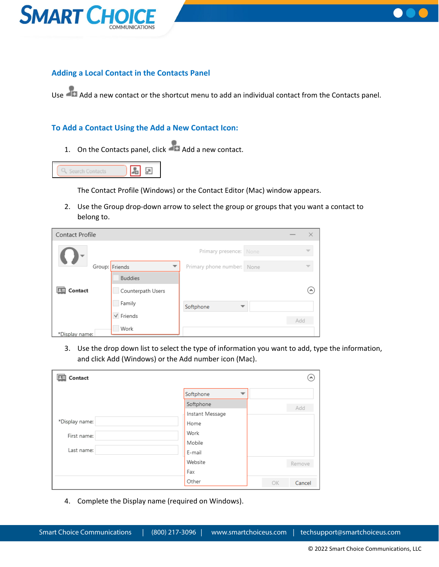



## <span id="page-6-0"></span>**Adding a Local Contact in the Contacts Panel**

Use Add a new contact or the shortcut menu to add an individual contact from the Contacts panel.

### <span id="page-6-1"></span>**To Add a Contact Using the Add a New Contact Icon:**

1. On the Contacts panel, click  $\overline{A}$  Add a new contact.



The Contact Profile (Windows) or the Contact Editor (Mac) window appears.

2. Use the Group drop-down arrow to select the group or groups that you want a contact to belong to.

| Contact Profile |                   |                            |     | × |
|-----------------|-------------------|----------------------------|-----|---|
|                 |                   | Primary presence: None     |     |   |
|                 | Group: Friends    | Primary phone number: None |     |   |
|                 | <b>Buddies</b>    |                            |     |   |
| Contact         | Counterpath Users |                            |     | ۸ |
|                 | Family            | Softphone                  |     |   |
|                 | $\vee$ Friends    |                            | Add |   |
| *Display name:  | Work              |                            |     |   |

3. Use the drop down list to select the type of information you want to add, type the information, and click Add (Windows) or the Add number icon (Mac).

| Contact        |                 | $\ddot{\phantom{1}}$ |
|----------------|-----------------|----------------------|
|                | Softphone       |                      |
|                | Softphone       | Add                  |
|                | Instant Message |                      |
| *Display name: | Home            |                      |
| First name:    | Work            |                      |
|                | Mobile          |                      |
| Last name:     | E-mail          |                      |
|                | Website         | Remove               |
|                | Fax             |                      |
|                | Other           | OK<br>Cancel         |

4. Complete the Display name (required on Windows).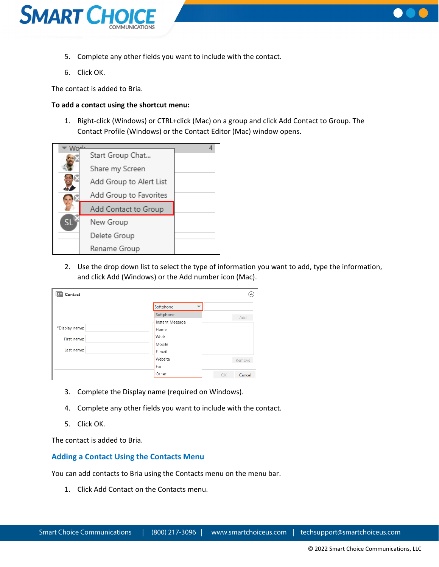



- 5. Complete any other fields you want to include with the contact.
- 6. Click OK.

The contact is added to Bria.

#### **To add a contact using the shortcut menu:**

1. Right-click (Windows) or CTRL+click (Mac) on a group and click Add Contact to Group. The Contact Profile (Windows) or the Contact Editor (Mac) window opens.



2. Use the drop down list to select the type of information you want to add, type the information, and click Add (Windows) or the Add number icon (Mac).

| Contact        |                 |    | $\blacktriangle$ |
|----------------|-----------------|----|------------------|
|                | Softphone<br>▼  |    |                  |
|                | Softphone       |    | Add              |
|                | Instant Message |    |                  |
| *Display name: | Home            |    |                  |
| First name:    | Work            |    |                  |
|                | Mobile          |    |                  |
| Last name:     | E-mail          |    |                  |
|                | Website         |    | Remove           |
|                | Fax             |    |                  |
|                | Other           | OK | Cancel           |

- 3. Complete the Display name (required on Windows).
- 4. Complete any other fields you want to include with the contact.
- 5. Click OK.

The contact is added to Bria.

### <span id="page-7-0"></span>**Adding a Contact Using the Contacts Menu**

You can add contacts to Bria using the Contacts menu on the menu bar.

1. Click Add Contact on the Contacts menu.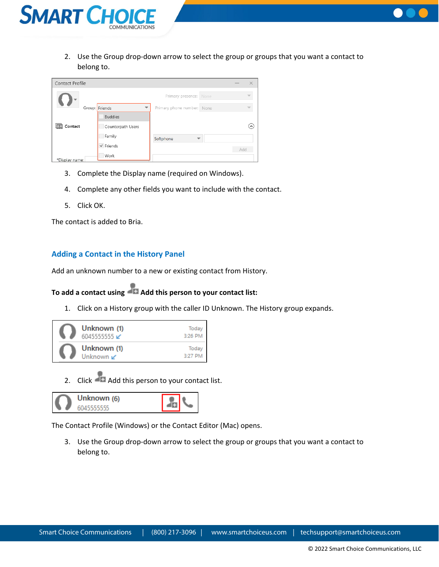



| Contact Profile |                     |                            |     | ×          |
|-----------------|---------------------|----------------------------|-----|------------|
|                 |                     | Primary presence: None     |     |            |
|                 | Group: Friends<br>▼ | Primary phone number: None |     |            |
|                 | <b>Buddies</b>      |                            |     |            |
| Contact         | Counterpath Users   |                            |     | $(\wedge)$ |
|                 | Family              | Softphone                  |     |            |
|                 | $\vee$ Friends      |                            | Add |            |
| *Display name:  | Work                |                            |     |            |

- 3. Complete the Display name (required on Windows).
- 4. Complete any other fields you want to include with the contact.
- 5. Click OK.

The contact is added to Bria.

#### <span id="page-8-0"></span>**Adding a Contact in the History Panel**

Add an unknown number to a new or existing contact from History.

## **[To add a contact using Add this person to your contact list:](https://docs.counterpath.com/docs/DeskUG/clients/UserGuides/Desktop/contacts/deskAddIndividualContact.htm)**

1. Click on a History group with the caller ID Unknown. The History group expands.



2. Click Add this person to your contact list.



The Contact Profile (Windows) or the Contact Editor (Mac) opens.

3. Use the Group drop-down arrow to select the group or groups that you want a contact to belong to.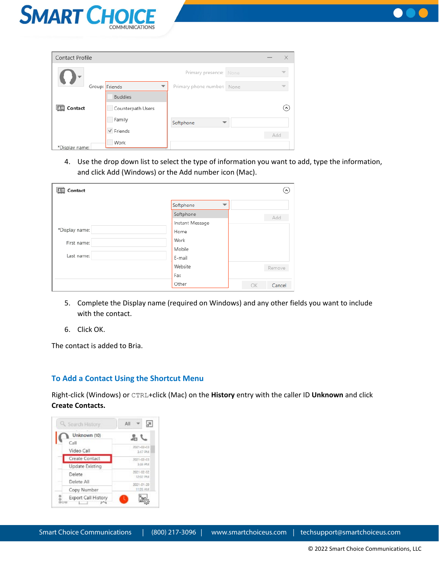



| Contact Profile |                     |                            |     | ×                                    |
|-----------------|---------------------|----------------------------|-----|--------------------------------------|
|                 |                     | Primary presence: None     |     |                                      |
|                 | Group: Friends<br>᠊ | Primary phone number: None |     |                                      |
|                 | <b>Buddies</b>      |                            |     |                                      |
| Contact         | Counterpath Users   |                            |     | $\left( \boldsymbol{\wedge} \right)$ |
|                 | Family              | Softphone                  |     |                                      |
|                 | $\sqrt{}$ Friends   |                            | Add |                                      |
| *Display name:  | Work                |                            |     |                                      |

4. Use the drop down list to select the type of information you want to add, type the information, and click Add (Windows) or the Add number icon (Mac).

| Contact        |                 | ᄾ            |
|----------------|-----------------|--------------|
|                | Softphone       |              |
|                | Softphone       | Add          |
|                | Instant Message |              |
| *Display name: | Home            |              |
| First name:    | Work            |              |
|                | Mobile          |              |
| Last name:     | E-mail          |              |
|                | Website         | Remove       |
|                | Fax             |              |
|                | Other           | OK<br>Cancel |

- 5. Complete the Display name (required on Windows) and any other fields you want to include with the contact.
- 6. Click OK.

The contact is added to Bria.

### <span id="page-9-0"></span>**To Add a Contact Using the Shortcut Menu**

Right-click (Windows) or CTRL+click (Mac) on the **History** entry with the caller ID **Unknown** and click **Create Contacts.**

| Q Search History                          | All                    |
|-------------------------------------------|------------------------|
| Unknown (10)                              |                        |
| Call<br>Video Call                        | 2021-02-03<br>3:47 PM  |
| Create Contact                            | 2021-02-03             |
| Update Existing                           | \$55,994               |
| Delete<br>Delete All                      | 2021-02-02<br>12:02 PM |
| Copy Number                               | 2021-01-20<br>11:05 AM |
| ۰<br>Export Call History<br>$\Box$<br>OUU |                        |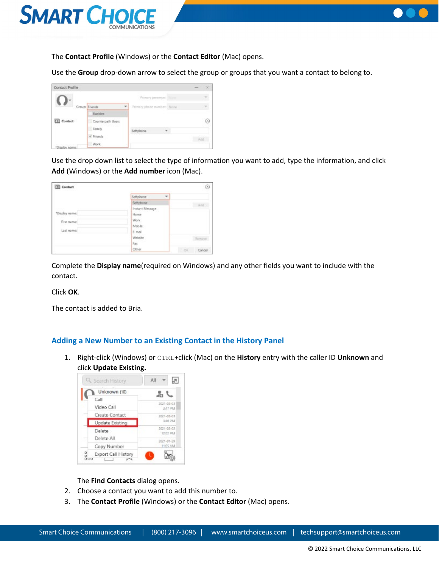



The **Contact Profile** (Windows) or the **Contact Editor** (Mac) opens.

Use the **Group** drop-down arrow to select the group or groups that you want a contact to belong to.

| Contact Profile |                   |                            | ×        |
|-----------------|-------------------|----------------------------|----------|
|                 |                   | Primary presence: Titime   |          |
|                 | Group: Friends    | Primary phone number: None |          |
|                 | <b>Budden</b>     |                            |          |
| Contact         | Counterpath Users |                            | $^{(n)}$ |
|                 | Family            | Softphone<br>٠             |          |
|                 | V Friends         |                            |          |
| Esplay name     | Work              |                            |          |

Use the drop down list to select the type of information you want to add, type the information, and click **Add** (Windows) or the **Add number** icon (Mac).

| Contact                 |                                       | $(\kappa)$          |
|-------------------------|---------------------------------------|---------------------|
|                         | Softphone<br>$\overline{\phantom{a}}$ |                     |
|                         | Sattphone                             | Add                 |
|                         | Instant Message                       |                     |
| "Display name:          | Horne                                 |                     |
| First name:             | <b>Work</b>                           |                     |
|                         | Mobile                                |                     |
| Last name:<br>,,,,,,,,, | E-mail                                |                     |
|                         | Website                               | Ramove              |
|                         | Fax:                                  |                     |
|                         | Other                                 | <b>CK</b><br>Cancel |

Complete the **Display name**(required on Windows) and any other fields you want to include with the contact.

Click **OK**.

The contact is added to Bria.

### <span id="page-10-0"></span>**Adding a New Number to an Existing Contact in the History Panel**

1. Right-click (Windows) or CTRL+click (Mac) on the **History** entry with the caller ID **Unknown** and click **Update Existing.**



The **Find Contacts** dialog opens.

- 2. Choose a contact you want to add this number to.
- 3. The **Contact Profile** (Windows) or the **Contact Editor** (Mac) opens.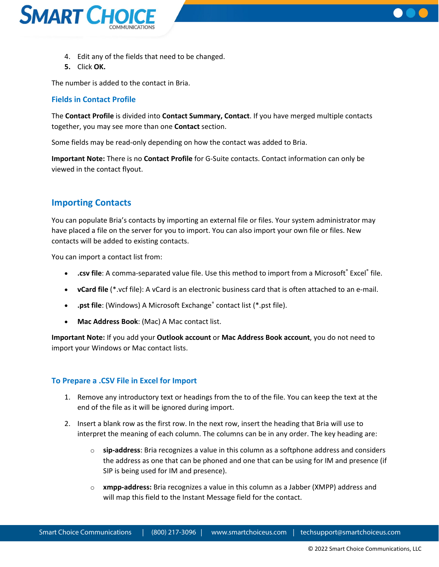



- 4. Edit any of the fields that need to be changed.
- **5.** Click **OK.**

The number is added to the contact in Bria.

### <span id="page-11-0"></span>**Fields in Contact Profile**

The **Contact Profile** is divided into **Contact Summary, Contact**. If you have merged multiple contacts together, you may see more than one **Contact** section.

Some fields may be read-only depending on how the contact was added to Bria.

**Important Note:** There is no **Contact Profile** for G-Suite contacts. Contact information can only be viewed in the contact flyout.

## <span id="page-11-1"></span>**Importing Contacts**

You can populate Bria's contacts by importing an external file or files. Your system administrator may have placed a file on the server for you to import. You can also import your own file or files. New contacts will be added to existing contacts.

You can import a contact list from:

- **.csv file**: A comma-separated value file. Use this method to import from a Microsoft® Excel® file.
- **vCard file** (\*.vcf file): A vCard is an electronic business card that is often attached to an e-mail.
- **.pst file**: (Windows) A Microsoft Exchange<sup>®</sup> contact list (\*.pst file).
- **Mac Address Book**: (Mac) A Mac contact list.

**Important Note:** If you add your **Outlook account** or **Mac Address Book account**, you do not need to import your Windows or Mac contact lists.

### <span id="page-11-2"></span>**To Prepare a .CSV File in Excel for Import**

- 1. Remove any introductory text or headings from the to of the file. You can keep the text at the end of the file as it will be ignored during import.
- 2. Insert a blank row as the first row. In the next row, insert the heading that Bria will use to interpret the meaning of each column. The columns can be in any order. The key heading are:
	- o **sip-address**: Bria recognizes a value in this column as a softphone address and considers the address as one that can be phoned and one that can be using for IM and presence (if SIP is being used for IM and presence).
	- o **xmpp-address:** Bria recognizes a value in this column as a Jabber (XMPP) address and will map this field to the Instant Message field for the contact.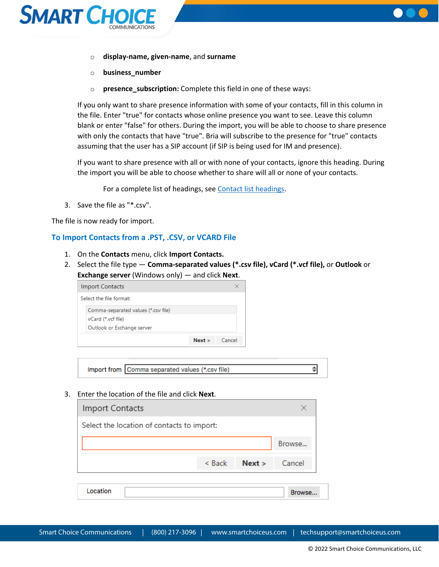



- o **display-name, given-name**, and **surname**
- o **business\_number**
- o **presence\_subscription:** Complete this field in one of these ways:

If you only want to share presence information with some of your contacts, fill in this column in the file. Enter "true" for contacts whose online presence you want to see. Leave this column blank or enter "false" for others. During the import, you will be able to choose to share presence with only the contacts that have "true". Bria will subscribe to the presence for "true" contacts assuming that the user has a SIP account (if SIP is being used for IM and presence).

If you want to share presence with all or with none of your contacts, ignore this heading. During the import you will be able to choose whether to share will all or none of your contacts.

For a complete list of headings, see [Contact list headings.](https://docs.counterpath.com/docs/DeskUG/clients/UserGuides/Desktop/reference/deskContactHeadings.htm)

3. Save the file as "\*.csv".

The file is now ready for import.

#### <span id="page-12-0"></span>**To Import Contacts from a .PST, .CSV, or VCARD File**

- 1. On the **Contacts** menu, click **Import Contacts.**
- 2. Select the file type **Comma-separated values (\*.csv file), vCard (\*.vcf file),** or **Outlook** or **Exchange server** (Windows only) — and click **Next**.

| Import Contacts                     |      |        |
|-------------------------------------|------|--------|
| Select the file format:             |      |        |
| Comma-separated values (*.csv file) |      |        |
| vCard (*.vcf file)                  |      |        |
| Outlook or Exchange server          |      |        |
|                                     | Next | Cancel |

Import from Comma separated values (\*.csv file)

3. Enter the location of the file and click **Next**.

| <b>Import Contacts</b>                     |          |        |        |
|--------------------------------------------|----------|--------|--------|
| Select the location of contacts to import: |          |        |        |
|                                            |          |        | Browse |
|                                            | $<$ Back | Next > | Cancel |
| Location                                   |          |        |        |

 $\Rightarrow$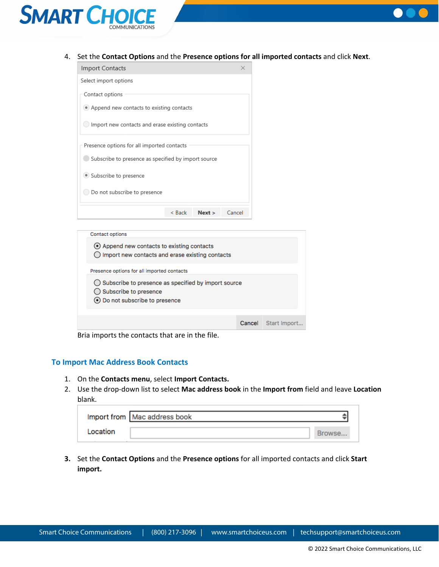



4. Set the **Contact Options** and the **Presence options for all imported contacts** and click **Next**.

| Import Contacts                                     |          |        | $\times$ |  |
|-----------------------------------------------------|----------|--------|----------|--|
| Select import options                               |          |        |          |  |
| Contact options                                     |          |        |          |  |
| • Append new contacts to existing contacts          |          |        |          |  |
| Import new contacts and erase existing contacts     |          |        |          |  |
| Presence options for all imported contacts          |          |        |          |  |
| Subscribe to presence as specified by import source |          |        |          |  |
| Subscribe to presence                               |          |        |          |  |
| Do not subscribe to presence                        |          |        |          |  |
|                                                     | $<$ Back | Next > | Cancel   |  |
|                                                     |          |        |          |  |

| Contact options                                                                                                                      |        |              |  |
|--------------------------------------------------------------------------------------------------------------------------------------|--------|--------------|--|
| ⊙ Append new contacts to existing contacts<br>$\bigcirc$ Import new contacts and erase existing contacts                             |        |              |  |
| Presence options for all imported contacts                                                                                           |        |              |  |
| $\bigcirc$ Subscribe to presence as specified by import source<br>$\bigcirc$ Subscribe to presence<br>⊙ Do not subscribe to presence |        |              |  |
|                                                                                                                                      |        |              |  |
|                                                                                                                                      | Cancel | Start Import |  |

Bria imports the contacts that are in the file.

#### <span id="page-13-0"></span>**To Import Mac Address Book Contacts**

- 1. On the **Contacts menu**, select **Import Contacts.**
- 2. Use the drop-down list to select **Mac address book** in the **Import from** field and leave **Location** blank.

|          | Import from   Mac address book |  |
|----------|--------------------------------|--|
| Location |                                |  |

**3.** Set the **Contact Options** and the **Presence options** for all imported contacts and click **Start import.**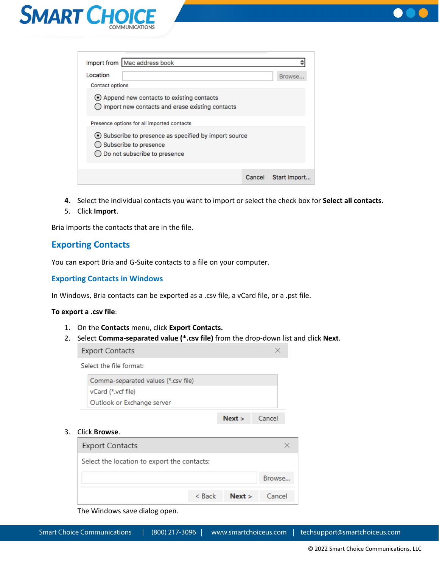



| Import from   Mac address book                                                                                 |        |              |
|----------------------------------------------------------------------------------------------------------------|--------|--------------|
| Location                                                                                                       |        | Browse.      |
| <b>Contact options</b>                                                                                         |        |              |
| ⊙ Append new contacts to existing contacts<br>Import new contacts and erase existing contacts                  |        |              |
| Presence options for all imported contacts                                                                     |        |              |
| ⊙ Subscribe to presence as specified by import source<br>Subscribe to presence<br>Do not subscribe to presence |        |              |
|                                                                                                                |        |              |
|                                                                                                                | Cancel | Start Import |

- **4.** Select the individual contacts you want to import or select the check box for **Select all contacts.**
- 5. Click **Import**.

Bria imports the contacts that are in the file.

## <span id="page-14-0"></span>**Exporting Contacts**

You can export Bria and G-Suite contacts to a file on your computer.

### <span id="page-14-1"></span>**Exporting Contacts in Windows**

In Windows, Bria contacts can be exported as a .csv file, a vCard file, or a .pst file.

#### **To export a .csv file**:

- 1. On the **Contacts** menu, click **Export Contacts.**
- 2. Select **Comma-separated value (\*.csv file)** from the drop-down list and click **Next**.

 $\times$ 

**Export Contacts** 

Select the file format:

| Outlook or Exchange server          |  |
|-------------------------------------|--|
| vCard (*.vcf file)                  |  |
| Comma-separated values (*.csv file) |  |

#### 3. Click **Browse**.

| <b>Export Contacts</b>                      |          |                      |        |
|---------------------------------------------|----------|----------------------|--------|
| Select the location to export the contacts: |          |                      |        |
|                                             |          |                      | Browse |
|                                             | $<$ Back | <b>Next</b> > Cancel |        |

The Windows save dialog open.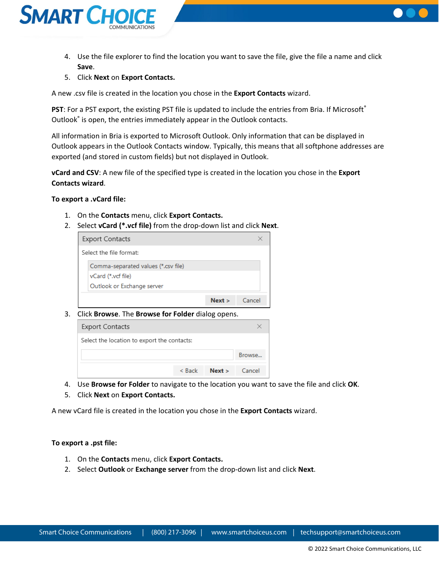

- 4. Use the file explorer to find the location you want to save the file, give the file a name and click **Save**.
- 5. Click **Next** on **Export Contacts.**

A new .csv file is created in the location you chose in the **Export Contacts** wizard.

**PST**: For a PST export, the existing PST file is updated to include the entries from Bria. If Microsoft® Outlook<sup>®</sup> is open, the entries immediately appear in the Outlook contacts.

All information in Bria is exported to Microsoft Outlook. Only information that can be displayed in Outlook appears in the Outlook Contacts window. Typically, this means that all softphone addresses are exported (and stored in custom fields) but not displayed in Outlook.

**vCard and CSV**: A new file of the specified type is created in the location you chose in the **Export Contacts wizard**.

#### **To export a .vCard file:**

- 1. On the **Contacts** menu, click **Export Contacts.**
- 2. Select **vCard (\*.vcf file)** from the drop-down list and click **Next**.

| <b>Export Contacts</b>              |      |        |
|-------------------------------------|------|--------|
| Select the file format:             |      |        |
| Comma-separated values (*.csv file) |      |        |
| vCard (*.vcf file)                  |      |        |
| Outlook or Exchange server          |      |        |
|                                     | Next | Cancel |

3. Click **Browse**. The **Browse for Folder** dialog opens.



- 4. Use **Browse for Folder** to navigate to the location you want to save the file and click **OK**.
- 5. Click **Next** on **Export Contacts.**

A new vCard file is created in the location you chose in the **Export Contacts** wizard.

#### **To export a .pst file:**

- 1. On the **Contacts** menu, click **Export Contacts.**
- 2. Select **Outlook** or **Exchange server** from the drop-down list and click **Next**.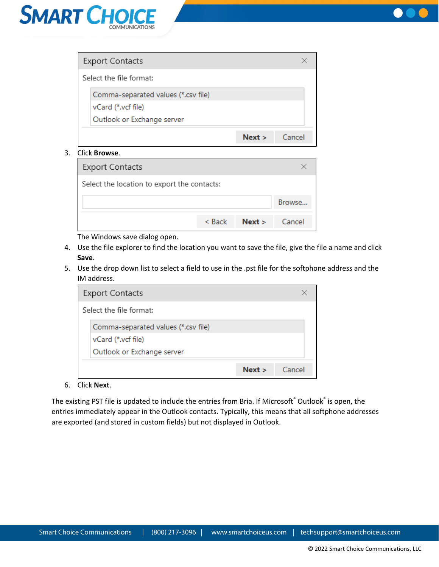



| <b>Export Contacts</b>              |      |        |
|-------------------------------------|------|--------|
| Select the file format:             |      |        |
| Comma-separated values (*.csv file) |      |        |
| vCard (*.vcf file)                  |      |        |
| Outlook or Exchange server          |      |        |
|                                     | Next | Cancel |

3. Click **Browse**.

| <b>Export Contacts</b>                      |              |               |        |
|---------------------------------------------|--------------|---------------|--------|
| Select the location to export the contacts: |              |               |        |
|                                             |              |               | Browse |
|                                             | $<$ Back $=$ | Next > Cancel |        |

The Windows save dialog open.

- 4. Use the file explorer to find the location you want to save the file, give the file a name and click **Save**.
- 5. Use the drop down list to select a field to use in the .pst file for the softphone address and the IM address.

| <b>Export Contacts</b>              |      |        |
|-------------------------------------|------|--------|
| Select the file format:             |      |        |
| Comma-separated values (*.csv file) |      |        |
| vCard (*.vcf file)                  |      |        |
| Outlook or Exchange server          |      |        |
|                                     | Next | Cancel |

### 6. Click **Next**.

The existing PST file is updated to include the entries from Bria. If Microsoft® Outlook® is open, the entries immediately appear in the Outlook contacts. Typically, this means that all softphone addresses are exported (and stored in custom fields) but not displayed in Outlook.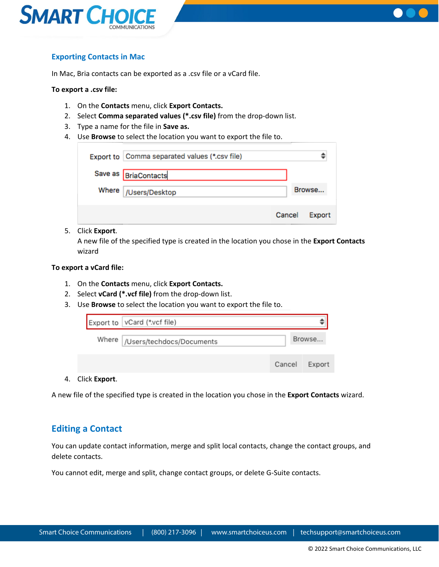



## <span id="page-17-0"></span>**Exporting Contacts in Mac**

In Mac, Bria contacts can be exported as a .csv file or a vCard file.

#### **To export a .csv file:**

- 1. On the **Contacts** menu, click **Export Contacts.**
- 2. Select **Comma separated values (\*.csv file)** from the drop-down list.
- 3. Type a name for the file in **Save as.**
- 4. Use **Browse** to select the location you want to export the file to.

| Export to Comma separated values (*.csv file) |        |        |
|-----------------------------------------------|--------|--------|
| Save as BriaContacts                          |        |        |
| Where   /Users/Desktop                        |        | Browse |
|                                               | Cancel | Export |

#### 5. Click **Export**.

A new file of the specified type is created in the location you chose in the **Export Contacts**  wizard

### **To export a vCard file:**

- 1. On the **Contacts** menu, click **Export Contacts.**
- 2. Select **vCard (\*.vcf file)** from the drop-down list.
- 3. Use **Browse** to select the location you want to export the file to.

|              | Export to   vCard (*.vcf file)   |        |        |
|--------------|----------------------------------|--------|--------|
|              | Where  /Users/techdocs/Documents |        |        |
|              |                                  | Cancel | Export |
| Click Exnort |                                  |        |        |

4. Click **Export**.

A new file of the specified type is created in the location you chose in the **Export Contacts** wizard.

## <span id="page-17-1"></span>**Editing a Contact**

You can update contact information, merge and split local contacts, change the contact groups, and delete contacts.

You cannot edit, merge and split, change contact groups, or delete G-Suite contacts.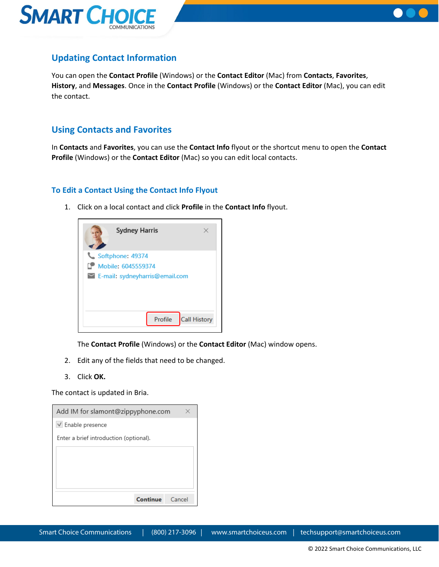



## <span id="page-18-0"></span>**Updating Contact Information**

You can open the **Contact Profile** (Windows) or the **Contact Editor** (Mac) from **Contacts**, **Favorites**, **History**, and **Messages**. Once in the **Contact Profile** (Windows) or the **Contact Editor** (Mac), you can edit the contact.

## <span id="page-18-1"></span>**Using Contacts and Favorites**

In **Contacts** and **Favorites**, you can use the **Contact Info** flyout or the shortcut menu to open the **Contact Profile** (Windows) or the **Contact Editor** (Mac) so you can edit local contacts.

## <span id="page-18-2"></span>**To Edit a Contact Using the Contact Info Flyout**

1. Click on a local contact and click **Profile** in the **Contact Info** flyout.



The **Contact Profile** (Windows) or the **Contact Editor** (Mac) window opens.

- 2. Edit any of the fields that need to be changed.
- 3. Click **OK.**

The contact is updated in Bria.

| Add IM for slamont@zippyphone.com      |        |
|----------------------------------------|--------|
| √ Enable presence                      |        |
| Enter a brief introduction (optional). |        |
|                                        |        |
|                                        |        |
|                                        |        |
|                                        |        |
| Continue                               | Cancel |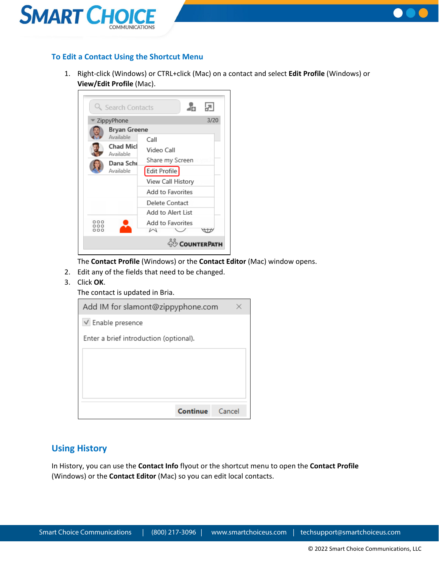



## <span id="page-19-0"></span>**To Edit a Contact Using the Shortcut Menu**

1. Right-click (Windows) or CTRL+click (Mac) on a contact and select **Edit Profile** (Windows) or **View/Edit Profile** (Mac).



The **Contact Profile** (Windows) or the **Contact Editor** (Mac) window opens.

- 2. Edit any of the fields that need to be changed.
- 3. Click **OK**.
	- The contact is updated in Bria.

| Add IM for slamont@zippyphone.com      |        |
|----------------------------------------|--------|
| $\vee$ Enable presence                 |        |
| Enter a brief introduction (optional). |        |
|                                        |        |
|                                        |        |
|                                        |        |
|                                        |        |
| Continue                               | Cancel |

## <span id="page-19-1"></span>**Using History**

In History, you can use the **Contact Info** flyout or the shortcut menu to open the **Contact Profile** (Windows) or the **Contact Editor** (Mac) so you can edit local contacts.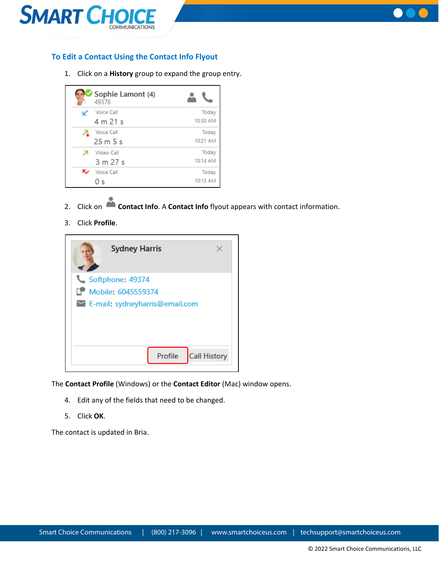



## <span id="page-20-0"></span>**To Edit a Contact Using the Contact Info Flyout**

1. Click on a **History** group to expand the group entry.

|   | Sophie Lamont (4)<br>49376 |          |
|---|----------------------------|----------|
|   | <b>Voice Call</b>          | Today    |
|   | 4 m 21 s                   | 10:30 AM |
|   | <b>Voice Call</b>          | Today    |
|   | 25m5s                      | 10:21 AM |
|   | Video Call                 | Today    |
|   | 3 m 27 s                   | 10:14 AM |
| ↜ | <b>Voice Call</b>          | Today    |
|   | 0 s                        | 10:13 AM |

- 2. Click on **Contact Info**. A **Contact Info** flyout appears with contact information.
- 3. Click **Profile**.



The **Contact Profile** (Windows) or the **Contact Editor** (Mac) window opens.

- 4. Edit any of the fields that need to be changed.
- 5. Click **OK**.

The contact is updated in Bria.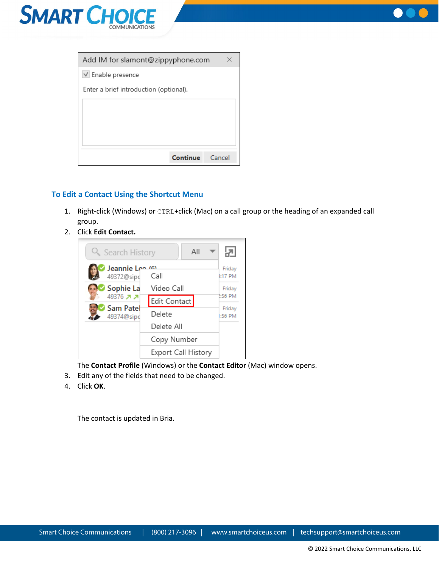



| Add IM for slamont@zippyphone.com      |  |
|----------------------------------------|--|
| $\vee$ Enable presence                 |  |
| Enter a brief introduction (optional). |  |
|                                        |  |
|                                        |  |
|                                        |  |
|                                        |  |
| Continue<br>Cancel                     |  |

## <span id="page-21-0"></span>**To Edit a Contact Using the Shortcut Menu**

- 1. Right-click (Windows) or CTRL+click (Mac) on a call group or the heading of an expanded call group.
- 2. Click **Edit Contact.**



The **Contact Profile** (Windows) or the **Contact Editor** (Mac) window opens.

- 3. Edit any of the fields that need to be changed.
- 4. Click **OK**.

The contact is updated in Bria.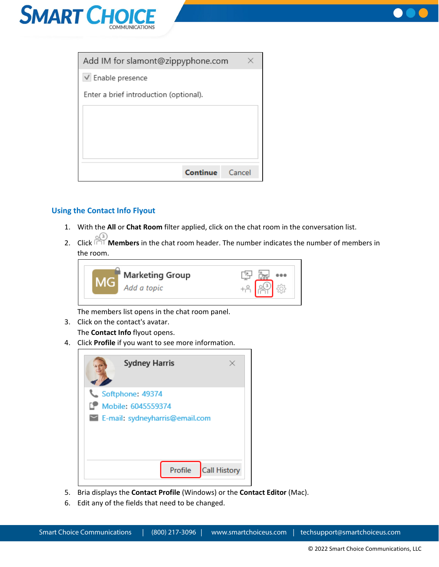



| Add IM for slamont@zippyphone.com      |        |
|----------------------------------------|--------|
| $\vee$ Enable presence                 |        |
| Enter a brief introduction (optional). |        |
|                                        |        |
|                                        |        |
|                                        |        |
|                                        |        |
| Continue                               | Cancel |

## <span id="page-22-0"></span>**Using the Contact Info Flyout**

- 1. With the **All** or **Chat Room** filter applied, click on the chat room in the conversation list.
- 2. Click **Members** in the chat room header. The number indicates the number of members in the room.



The members list opens in the chat room panel.

- 3. Click on the contact's avatar. The **Contact Info** flyout opens.
- 4. Click **Profile** if you want to see more information.



- 5. Bria displays the **Contact Profile** (Windows) or the **Contact Editor** (Mac).
- 6. Edit any of the fields that need to be changed.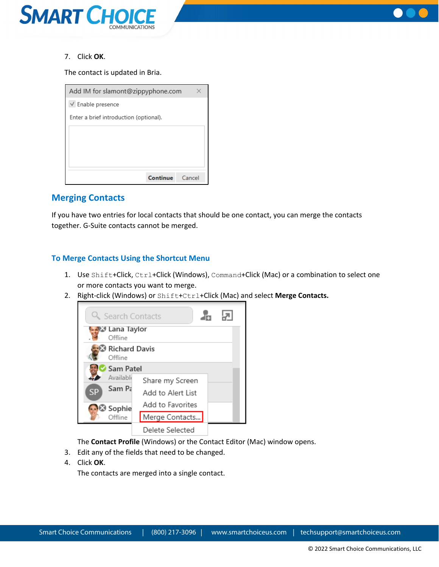



7. Click **OK**.

The contact is updated in Bria.

| Add IM for slamont@zippyphone.com      |  |
|----------------------------------------|--|
| $\vee$ Enable presence                 |  |
| Enter a brief introduction (optional). |  |
|                                        |  |
|                                        |  |
|                                        |  |
|                                        |  |
| Continue<br>Cancel                     |  |

## <span id="page-23-0"></span>**Merging Contacts**

If you have two entries for local contacts that should be one contact, you can merge the contacts together. G-Suite contacts cannot be merged.

## <span id="page-23-1"></span>**To Merge Contacts Using the Shortcut Menu**

- 1. Use Shift+Click, Ctrl+Click (Windows), Command+Click (Mac) or a combination to select one or more contacts you want to merge.
- 2. Right-click (Windows) or Shift+Ctrl+Click (Mac) and select **Merge Contacts.**



The **Contact Profile** (Windows) or the Contact Editor (Mac) window opens.

- 3. Edit any of the fields that need to be changed.
- 4. Click **OK**.

The contacts are merged into a single contact.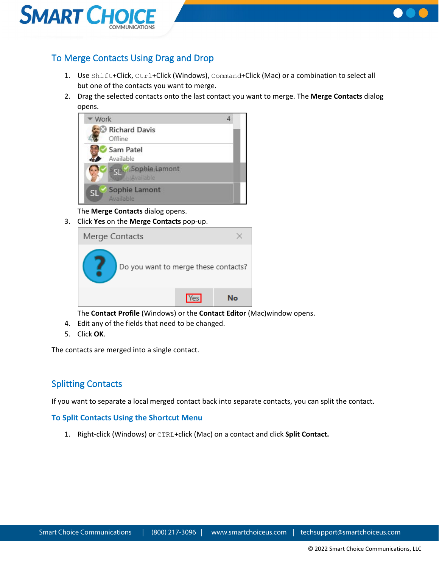



## <span id="page-24-0"></span>To Merge Contacts Using Drag and Drop

- 1. Use Shift+Click, Ctrl+Click (Windows), Command+Click (Mac) or a combination to select all but one of the contacts you want to merge.
- 2. Drag the selected contacts onto the last contact you want to merge. The **Merge Contacts** dialog opens.



The **Merge Contacts** dialog opens.

3. Click **Yes** on the **Merge Contacts** pop-up.

| Merge Contacts                       |            |    |
|--------------------------------------|------------|----|
| Do you want to merge these contacts? |            |    |
|                                      | <b>Yes</b> | N۰ |

The **Contact Profile** (Windows) or the **Contact Editor** (Mac)window opens.

- 4. Edit any of the fields that need to be changed.
- 5. Click **OK**.

The contacts are merged into a single contact.

## <span id="page-24-1"></span>Splitting Contacts

If you want to separate a local merged contact back into separate contacts, you can split the contact.

## <span id="page-24-2"></span>**To Split Contacts Using the Shortcut Menu**

1. Right-click (Windows) or CTRL+click (Mac) on a contact and click **Split Contact.**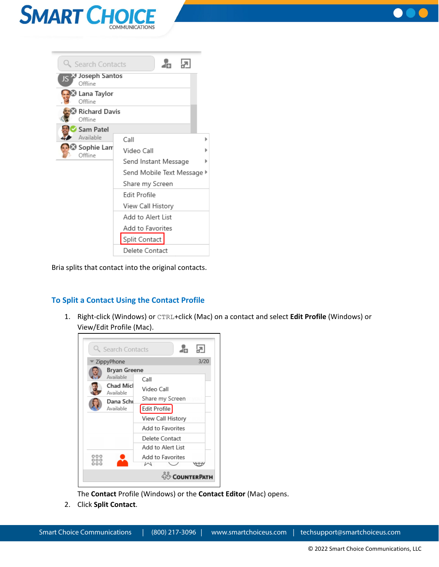



| Q Search Contacts                            | æ.                         |  |
|----------------------------------------------|----------------------------|--|
| JS > Joseph Santos<br>Offline                |                            |  |
| Lana Taylor الكا <mark>مية</mark><br>Offline |                            |  |
| Richard Davis (<br>Offline                   |                            |  |
| Sam Patel                                    |                            |  |
| Available                                    | Call                       |  |
| Sophie Lam®<br>Offline                       | Video Call                 |  |
|                                              | Send Instant Message       |  |
|                                              | Send Mobile Text Message ▶ |  |
|                                              | Share my Screen            |  |
|                                              | Edit Profile               |  |
|                                              | View Call History          |  |
|                                              | Add to Alert List          |  |
|                                              | Add to Favorites           |  |
|                                              | Split Contact              |  |
|                                              | Delete Contact             |  |

Bria splits that contact into the original contacts.

## <span id="page-25-0"></span>**To Split a Contact Using the Contact Profile**

1. Right-click (Windows) or CTRL+click (Mac) on a contact and select **Edit Profile** (Windows) or View/Edit Profile (Mac).



The **Contact** Profile (Windows) or the **Contact Editor** (Mac) opens.

2. Click **Split Contact**.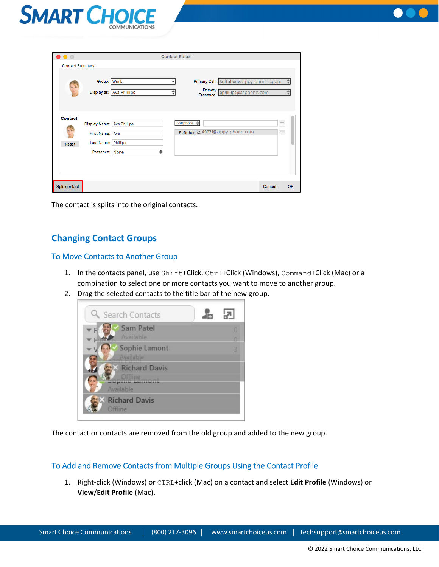



| $\bullet$ $\circ$      |                            |                          | <b>Contact Editor</b> |                                              |                                          |        |      |
|------------------------|----------------------------|--------------------------|-----------------------|----------------------------------------------|------------------------------------------|--------|------|
| <b>Contact Summary</b> |                            |                          |                       |                                              |                                          |        |      |
|                        | Group: Work                |                          |                       |                                              | Primary Call: Softphone:zippy-phone.cpom |        | ≙    |
|                        |                            | Display as: Ava Phillips |                       | Primary p<br>Presence:                       | aphillips@acphone.com                    |        | .≑   |
| <b>Contact</b>         | Display Name: Ava Phillips |                          |                       | Softphone $\triangleq$                       |                                          |        | $\!$ |
|                        | First Name: Ava            |                          |                       | Softphone <sup>2</sup> 49371@zippy-phone.com |                                          |        |      |
| Reset                  | Last Name: Phillips        |                          |                       |                                              |                                          |        |      |
|                        | Presence: None             |                          |                       |                                              |                                          |        |      |
|                        |                            |                          |                       |                                              |                                          |        |      |
|                        |                            |                          |                       |                                              |                                          |        |      |
| Split contact          |                            |                          |                       |                                              |                                          | Cancel | OK   |

The contact is splits into the original contacts.

## <span id="page-26-0"></span>**Changing Contact Groups**

## <span id="page-26-1"></span>To Move Contacts to Another Group

- 1. In the contacts panel, use Shift+Click, Ctrl+Click (Windows), Command+Click (Mac) or a combination to select one or more contacts you want to move to another group.
- 2. Drag the selected contacts to the title bar of the new group.



The contact or contacts are removed from the old group and added to the new group.

## <span id="page-26-2"></span>To Add and Remove Contacts from Multiple Groups Using the Contact Profile

1. Right-click (Windows) or CTRL+click (Mac) on a contact and select **Edit Profile** (Windows) or **View**/**Edit Profile** (Mac).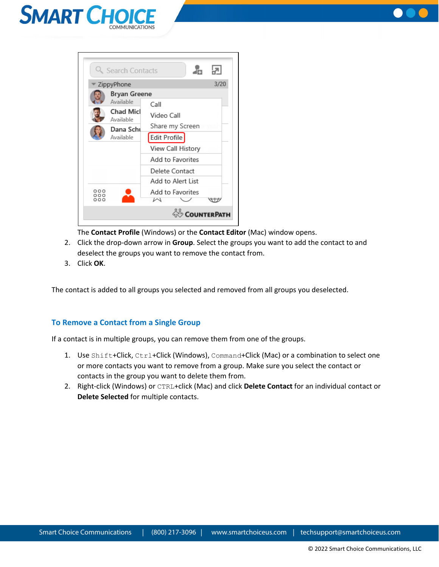





The **Contact Profile** (Windows) or the **Contact Editor** (Mac) window opens.

- 2. Click the drop-down arrow in **Group**. Select the groups you want to add the contact to and deselect the groups you want to remove the contact from.
- 3. Click **OK**.

The contact is added to all groups you selected and removed from all groups you deselected.

### <span id="page-27-0"></span>**To Remove a Contact from a Single Group**

If a contact is in multiple groups, you can remove them from one of the groups.

- 1. Use Shift+Click, Ctrl+Click (Windows), Command+Click (Mac) or a combination to select one or more contacts you want to remove from a group. Make sure you select the contact or contacts in the group you want to delete them from.
- 2. Right-click (Windows) or CTRL+click (Mac) and click **Delete Contact** for an individual contact or **Delete Selected** for multiple contacts.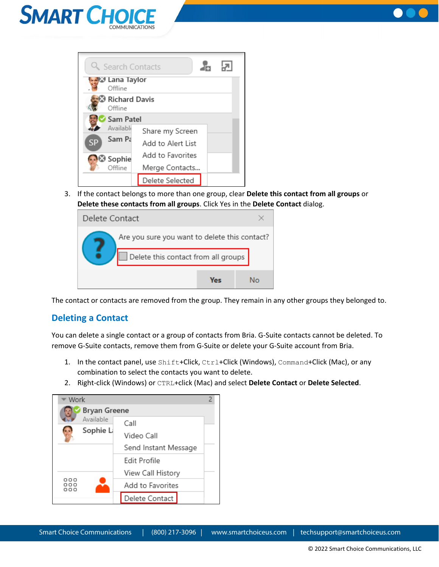



|           | Q Search Contacts           |                   |  |
|-----------|-----------------------------|-------------------|--|
|           | ⊱ek∜ Lana Taylor<br>Offline |                   |  |
|           | Richard Davis<br>Offline    |                   |  |
|           | Sam Patel                   |                   |  |
|           | Available                   | Share my Screen   |  |
| <b>SP</b> | Sam Pa                      | Add to Alert List |  |
|           | <b>B</b> Sophie             | Add to Favorites  |  |
|           | Offline                     | Merge Contacts    |  |
|           |                             | Delete Selected   |  |

3. If the contact belongs to more than one group, clear **Delete this contact from all groups** or **Delete these contacts from all groups**. Click Yes in the **Delete Contact** dialog.

| Delete Contact |                                               |                                     |  |    |
|----------------|-----------------------------------------------|-------------------------------------|--|----|
|                | Are you sure you want to delete this contact? |                                     |  |    |
|                |                                               | Delete this contact from all groups |  |    |
|                |                                               | Ves                                 |  | N۱ |

The contact or contacts are removed from the group. They remain in any other groups they belonged to.

## <span id="page-28-0"></span>**Deleting a Contact**

You can delete a single contact or a group of contacts from Bria. G-Suite contacts cannot be deleted. To remove G-Suite contacts, remove them from G-Suite or delete your G-Suite account from Bria.

- 1. In the contact panel, use Shift+Click, Ctrl+Click (Windows), Command+Click (Mac), or any combination to select the contacts you want to delete.
- 2. Right-click (Windows) or CTRL+click (Mac) and select **Delete Contact** or **Delete Selected**.

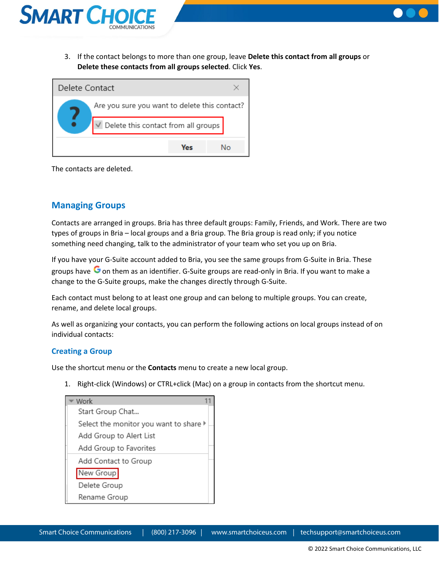

3. If the contact belongs to more than one group, leave **Delete this contact from all groups** or **Delete these contacts from all groups selected**. Click **Yes**.



The contacts are deleted.

## <span id="page-29-0"></span>**Managing Groups**

Contacts are arranged in groups. Bria has three default groups: Family, Friends, and Work. There are two types of groups in Bria – local groups and a Bria group. The Bria group is read only; if you notice something need changing, talk to the administrator of your team who set you up on Bria.

If you have your G-Suite account added to Bria, you see the same groups from G-Suite in Bria. These groups have  $\mathbf G$  on them as an identifier. G-Suite groups are read-only in Bria. If you want to make a change to the G-Suite groups, make the changes directly through G-Suite.

Each contact must belong to at least one group and can belong to multiple groups. You can create, rename, and delete local groups.

As well as organizing your contacts, you can perform the following actions on local groups instead of on individual contacts:

### <span id="page-29-1"></span>**Creating a Group**

Use the shortcut menu or the **Contacts** menu to create a new local group.

1. Right-click (Windows) or CTRL+click (Mac) on a group in contacts from the shortcut menu.

| Work                                                       |  |
|------------------------------------------------------------|--|
| Start Group Chat                                           |  |
| Select the monitor you want to share $\blacktriangleright$ |  |
| Add Group to Alert List                                    |  |
| Add Group to Favorites                                     |  |
| Add Contact to Group                                       |  |
| New Group                                                  |  |
| Delete Group                                               |  |
| Rename Group                                               |  |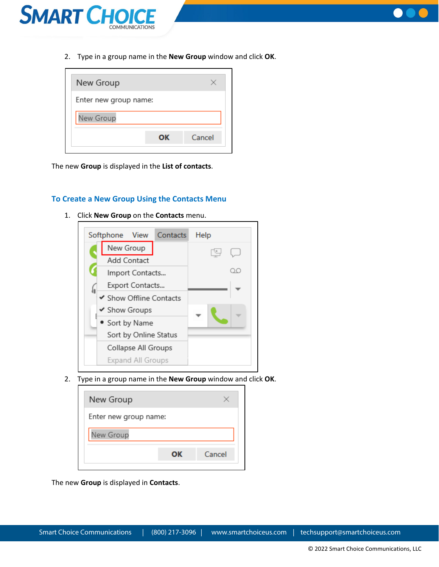



2. Type in a group name in the **New Group** window and click **OK**.

| Enter new group name:<br>New Group | New Group |    |        |
|------------------------------------|-----------|----|--------|
|                                    |           |    |        |
|                                    |           |    |        |
|                                    |           | ΟК | Cancel |

The new **Group** is displayed in the **List of contacts**.

### <span id="page-30-0"></span>**To Create a New Group Using the Contacts Menu**

1. Click **New Group** on the **Contacts** menu.



2. Type in a group name in the **New Group** window and click **OK**.

| New Group             |    |        |
|-----------------------|----|--------|
| Enter new group name: |    |        |
| New Group             |    |        |
|                       | ОΚ | Cancel |

The new **Group** is displayed in **Contacts**.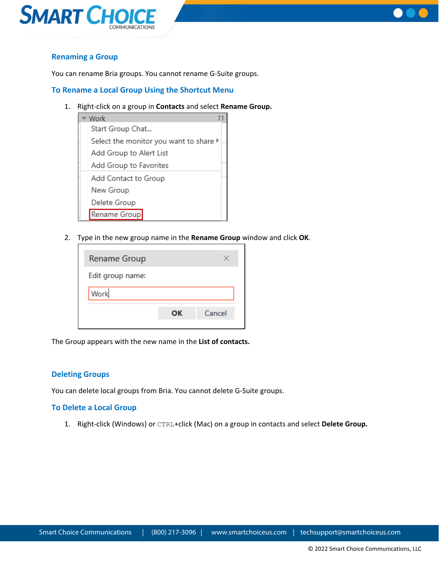



## <span id="page-31-0"></span>**Renaming a Group**

You can rename Bria groups. You cannot rename G-Suite groups.

### <span id="page-31-1"></span>**To Rename a Local Group Using the Shortcut Menu**

1. Right-click on a group in **Contacts** and select **Rename Group.**



2. Type in the new group name in the **Rename Group** window and click **OK**.

| ΟК | Cancel |
|----|--------|
|    |        |

The Group appears with the new name in the **List of contacts.**

#### <span id="page-31-2"></span>**Deleting Groups**

You can delete local groups from Bria. You cannot delete G-Suite groups.

### <span id="page-31-3"></span>**To Delete a Local Group**

1. Right-click (Windows) or CTRL+click (Mac) on a group in contacts and select **Delete Group.**